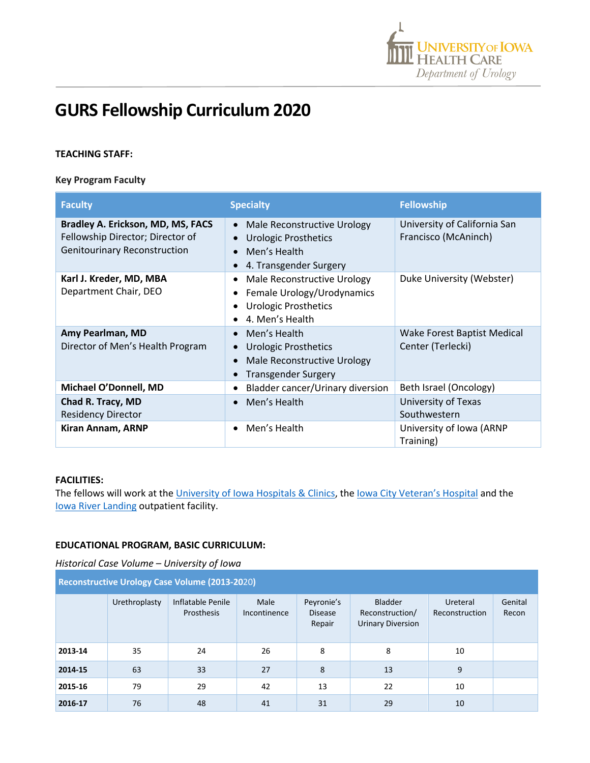

# **GURS Fellowship Curriculum 2020**

## **TEACHING STAFF:**

#### **Key Program Faculty**

| <b>Faculty</b>                                                                                               | <b>Specialty</b>                                                                                            | <b>Fellowship</b>                                    |
|--------------------------------------------------------------------------------------------------------------|-------------------------------------------------------------------------------------------------------------|------------------------------------------------------|
| Bradley A. Erickson, MD, MS, FACS<br>Fellowship Director; Director of<br><b>Genitourinary Reconstruction</b> | Male Reconstructive Urology<br><b>Urologic Prosthetics</b><br>Men's Health<br>4. Transgender Surgery        | University of California San<br>Francisco (McAninch) |
| Karl J. Kreder, MD, MBA<br>Department Chair, DEO                                                             | Male Reconstructive Urology<br>Female Urology/Urodynamics<br><b>Urologic Prosthetics</b><br>4. Men's Health | Duke University (Webster)                            |
| Amy Pearlman, MD<br>Director of Men's Health Program                                                         | Men's Health<br><b>Urologic Prosthetics</b><br>Male Reconstructive Urology<br>Transgender Surgery           | Wake Forest Baptist Medical<br>Center (Terlecki)     |
| Michael O'Donnell, MD                                                                                        | Bladder cancer/Urinary diversion                                                                            | Beth Israel (Oncology)                               |
| Chad R. Tracy, MD<br><b>Residency Director</b>                                                               | Men's Health                                                                                                | University of Texas<br>Southwestern                  |
| Kiran Annam, ARNP                                                                                            | Men's Health                                                                                                | University of Iowa (ARNP<br>Training)                |

#### **FACILITIES:**

The fellows will work at the University of Iowa Hospitals & Clinics, the lowa City Veteran's Hospital and the Iowa River Landing outpatient facility.

## **EDUCATIONAL PROGRAM, BASIC CURRICULUM:**

| Historical Case Volume – University of Iowa |  |  |  |
|---------------------------------------------|--|--|--|
|---------------------------------------------|--|--|--|

| <b>Reconstructive Urology Case Volume (2013-2020)</b> |               |                                 |                      |                                        |                                                               |                            |                  |  |
|-------------------------------------------------------|---------------|---------------------------------|----------------------|----------------------------------------|---------------------------------------------------------------|----------------------------|------------------|--|
|                                                       | Urethroplasty | Inflatable Penile<br>Prosthesis | Male<br>Incontinence | Peyronie's<br><b>Disease</b><br>Repair | <b>Bladder</b><br>Reconstruction/<br><b>Urinary Diversion</b> | Ureteral<br>Reconstruction | Genital<br>Recon |  |
| 2013-14                                               | 35            | 24                              | 26                   | 8                                      | 8                                                             | 10                         |                  |  |
| 2014-15                                               | 63            | 33                              | 27                   | 8                                      | 13                                                            | 9                          |                  |  |
| 2015-16                                               | 79            | 29                              | 42                   | 13                                     | 22                                                            | 10                         |                  |  |
| 2016-17                                               | 76            | 48                              | 41                   | 31                                     | 29                                                            | 10                         |                  |  |